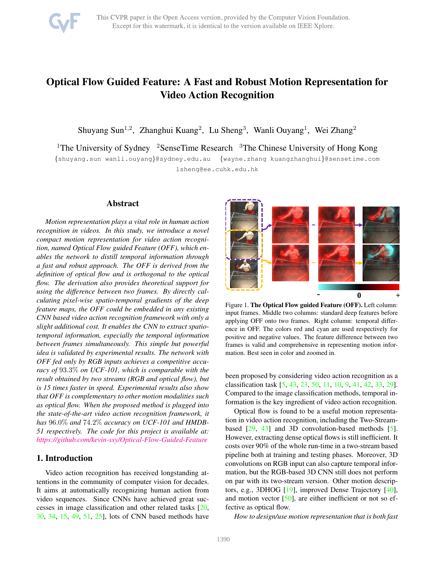

# Optical Flow Guided Feature: A Fast and Robust Motion Representation for Video Action Recognition

Shuyang Sun<sup>1,2</sup>, Zhanghui Kuang<sup>2</sup>, Lu Sheng<sup>3</sup>, Wanli Ouyang<sup>1</sup>, Wei Zhang<sup>2</sup>

<sup>1</sup>The University of Sydney <sup>2</sup>SenseTime Research <sup>3</sup>The Chinese University of Hong Kong

{shuyang.sun wanli.ouyang}@sydney.edu.au {wayne.zhang kuangzhanghui}@sensetime.com lsheng@ee.cuhk.edu.hk

### Abstract

*Motion representation plays a vital role in human action recognition in videos. In this study, we introduce a novel compact motion representation for video action recognition, named Optical Flow guided Feature (OFF), which enables the network to distill temporal information through a fast and robust approach. The OFF is derived from the definition of optical flow and is orthogonal to the optical flow. The derivation also provides theoretical support for using the difference between two frames. By directly calculating pixel-wise spatio-temporal gradients of the deep feature maps, the OFF could be embedded in any existing CNN based video action recognition framework with only a slight additional cost. It enables the CNN to extract spatiotemporal information, especially the temporal information between frames simultaneously. This simple but powerful idea is validated by experimental results. The network with OFF fed only by RGB inputs achieves a competitive accuracy of* 93.3% *on UCF-101, which is comparable with the result obtained by two streams (RGB and optical flow), but is 15 times faster in speed. Experimental results also show that OFF is complementary to other motion modalities such as optical flow. When the proposed method is plugged into the state-of-the-art video action recognition framework, it has* 96.0% *and* 74.2% *accuracy on UCF-101 and HMDB-51 respectively. The code for this project is available at: <https://github.com/kevin-ssy/Optical-Flow-Guided-Feature>*

# 1. Introduction

Video action recognition has received longstanding attentions in the community of computer vision for decades. It aims at automatically recognizing human action from video sequences. Since CNNs have achieved great successes in image classification and other related tasks [\[20,](#page-8-0) [30,](#page-8-1) [34,](#page-8-2) [15,](#page-8-3) [49,](#page-9-0) [51,](#page-9-1) [25\]](#page-8-4), lots of CNN based methods have



Figure 1. The Optical Flow guided Feature (OFF). Left column: input frames. Middle two columns: standard deep features before applying OFF onto two frames. Right column: temporal difference in OFF. The colors red and cyan are used respectively for positive and negative values. The feature difference between two frames is valid and comprehensive in representing motion information. Best seen in color and zoomed in.

<span id="page-0-0"></span>been proposed by considering video action recognition as a classification task [\[5,](#page-8-5) [43,](#page-9-2) [23,](#page-8-6) [50,](#page-9-3) [11,](#page-8-7) [10,](#page-8-8) [9,](#page-8-9) [41,](#page-9-4) [42,](#page-9-5) [33,](#page-8-10) [29\]](#page-8-11). Compared to the image classification methods, temporal information is the key ingredient of video action recognition.

Optical flow is found to be a useful motion representation in video action recognition, including the Two-Streambased [\[29,](#page-8-11) [43\]](#page-9-2) and 3D convolution-based methods [\[5\]](#page-8-5). However, extracting dense optical flows is still inefficient. It costs over 90% of the whole run-time in a two-stream based pipeline both at training and testing phases. Moreover, 3D convolutions on RGB input can also capture temporal information, but the RGB-based 3D CNN still does not perform on par with its two-stream version. Other motion descriptors, e.g., 3DHOG [\[19\]](#page-8-12), improved Dense Trajectory [\[40\]](#page-9-6), and motion vector  $[50]$ , are either inefficient or not so effective as optical flow.

*How to design/use motion representation that is both fast*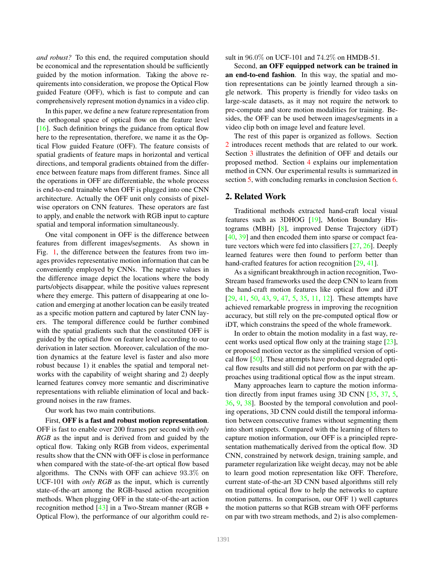*and robust?* To this end, the required computation should be economical and the representation should be sufficiently guided by the motion information. Taking the above requirements into consideration, we propose the Optical Flow guided Feature (OFF), which is fast to compute and can comprehensively represent motion dynamics in a video clip.

In this paper, we define a new feature representation from the orthogonal space of optical flow on the feature level [\[16\]](#page-8-13). Such definition brings the guidance from optical flow here to the representation, therefore, we name it as the Optical Flow guided Feature (OFF). The feature consists of spatial gradients of feature maps in horizontal and vertical directions, and temporal gradients obtained from the difference between feature maps from different frames. Since all the operations in OFF are differentiable, the whole process is end-to-end trainable when OFF is plugged into one CNN architecture. Actually the OFF unit only consists of pixelwise operators on CNN features. These operators are fast to apply, and enable the network with RGB input to capture spatial and temporal information simultaneously.

One vital component in OFF is the difference between features from different images/segments. As shown in Fig. [1,](#page-0-0) the difference between the features from two images provides representative motion information that can be conveniently employed by CNNs. The negative values in the difference image depict the locations where the body parts/objects disappear, while the positive values represent where they emerge. This pattern of disappearing at one location and emerging at another location can be easily treated as a specific motion pattern and captured by later CNN layers. The temporal difference could be further combined with the spatial gradients such that the constituted OFF is guided by the optical flow on feature level according to our derivation in later section. Moreover, calculation of the motion dynamics at the feature level is faster and also more robust because 1) it enables the spatial and temporal networks with the capability of weight sharing and 2) deeply learned features convey more semantic and discriminative representations with reliable elimination of local and background noises in the raw frames.

Our work has two main contributions.

First, OFF is a fast and robust motion representation. OFF is fast to enable over 200 frames per second with *only RGB* as the input and is derived from and guided by the optical flow. Taking only RGB from videos, experimental results show that the CNN with OFF is close in performance when compared with the state-of-the-art optical flow based algorithms. The CNNs with OFF can achieve 93.3% on UCF-101 with *only RGB* as the input, which is currently state-of-the-art among the RGB-based action recognition methods. When plugging OFF in the state-of-the-art action recognition method  $[43]$  in a Two-Stream manner (RGB + Optical Flow), the performance of our algorithm could result in 96.0% on UCF-101 and 74.2% on HMDB-51.

Second, an OFF equipped network can be trained in an end-to-end fashion. In this way, the spatial and motion representations can be jointly learned through a single network. This property is friendly for video tasks on large-scale datasets, as it may not require the network to pre-compute and store motion modalities for training. Besides, the OFF can be used between images/segments in a video clip both on image level and feature level.

The rest of this paper is organized as follows. Section [2](#page-1-0) introduces recent methods that are related to our work. Section [3](#page-2-0) illustrates the definition of OFF and details our proposed method. Section [4](#page-3-0) explains our implementation method in CNN. Our experimental results is summarized in section [5,](#page-5-0) with concluding remarks in conclusion Section [6.](#page-7-0)

# <span id="page-1-0"></span>2. Related Work

Traditional methods extracted hand-craft local visual features such as 3DHOG [\[19\]](#page-8-12), Motion Boundary Histograms (MBH) [\[8\]](#page-8-14), improved Dense Trajectory (iDT) [\[40,](#page-9-6) [39\]](#page-9-7) and then encoded them into sparse or compact feature vectors which were fed into classifiers [\[27,](#page-8-15) [26\]](#page-8-16). Deeply learned features were then found to perform better than hand-crafted features for action recognition [\[29,](#page-8-11) [41\]](#page-9-4).

As a significant breakthrough in action recognition, Two-Stream based frameworks used the deep CNN to learn from the hand-craft motion features like optical flow and iDT [\[29,](#page-8-11) [41,](#page-9-4) [50,](#page-9-3) [43,](#page-9-2) [9,](#page-8-9) [47,](#page-9-8) [5,](#page-8-5) [35,](#page-8-17) [11,](#page-8-7) [12\]](#page-8-18). These attempts have achieved remarkable progress in improving the recognition accuracy, but still rely on the pre-computed optical flow or iDT, which constrains the speed of the whole framework.

In order to obtain the motion modality in a fast way, recent works used optical flow only at the training stage [\[23\]](#page-8-6), or proposed motion vector as the simplified version of optical flow [\[50\]](#page-9-3). These attempts have produced degraded optical flow results and still did not perform on par with the approaches using traditional optical flow as the input stream.

Many approaches learn to capture the motion information directly from input frames using 3D CNN [\[35,](#page-8-17) [37,](#page-8-19) [5,](#page-8-5) [36,](#page-8-20) [9,](#page-8-9) [38\]](#page-9-9). Boosted by the temporal convolution and pooling operations, 3D CNN could distill the temporal information between consecutive frames without segmenting them into short snippets. Compared with the learning of filters to capture motion information, our OFF is a principled representation mathematically derived from the optical flow. 3D CNN, constrained by network design, training sample, and parameter regularization like weight decay, may not be able to learn good motion representation like OFF. Therefore, current state-of-the-art 3D CNN based algorithms still rely on traditional optical flow to help the networks to capture motion patterns. In comparison, our OFF 1) well captures the motion patterns so that RGB stream with OFF performs on par with two stream methods, and 2) is also complemen-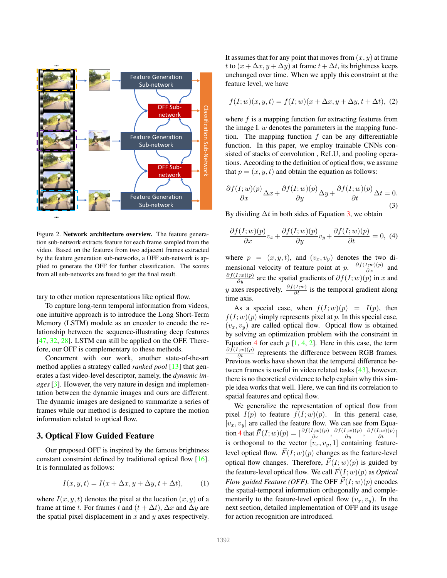

<span id="page-2-0"></span>Figure 2. Network architecture overview. The feature generation sub-network extracts feature for each frame sampled from the video. Based on the features from two adjacent frames extracted by the feature generation sub-networks, a OFF sub-network is applied to generate the OFF for further classification. The scores from all sub-networks are fused to get the final result.

tary to other motion representations like optical flow.

To capture long-term temporal information from videos, one intuitive approach is to introduce the Long Short-Term Memory (LSTM) module as an encoder to encode the relationship between the sequence-illustrating deep features [\[47,](#page-9-8) [32,](#page-8-21) [28\]](#page-8-22). LSTM can still be applied on the OFF. Therefore, our OFF is complementary to these methods.

Concurrent with our work, another state-of-the-art method applies a strategy called *ranked pool* [\[13\]](#page-8-23) that generates a fast video-level descriptor, namely, the *dynamic images* [\[3\]](#page-8-24). However, the very nature in design and implementation between the dynamic images and ours are different. The dynamic images are designed to summarize a series of frames while our method is designed to capture the motion information related to optical flow.

## 3. Optical Flow Guided Feature

Our proposed OFF is inspired by the famous brightness constant constraint defined by traditional optical flow [\[16\]](#page-8-13). It is formulated as follows:

$$
I(x, y, t) = I(x + \Delta x, y + \Delta y, t + \Delta t), \quad (1)
$$

where  $I(x, y, t)$  denotes the pixel at the location  $(x, y)$  of a frame at time t. For frames t and  $(t + \Delta t)$ ,  $\Delta x$  and  $\Delta y$  are the spatial pixel displacement in  $x$  and  $y$  axes respectively.

It assumes that for any point that moves from  $(x, y)$  at frame t to  $(x + \Delta x, y + \Delta y)$  at frame  $t + \Delta t$ , its brightness keeps unchanged over time. When we apply this constraint at the feature level, we have

$$
f(I; w)(x, y, t) = f(I; w)(x + \Delta x, y + \Delta y, t + \Delta t), (2)
$$

where  $f$  is a mapping function for extracting features from the image I.  $w$  denotes the parameters in the mapping function. The mapping function  $f$  can be any differentiable function. In this paper, we employ trainable CNNs consisted of stacks of convolution , ReLU, and pooling operations. According to the definition of optical flow, we assume that  $p = (x, y, t)$  and obtain the equation as follows:

<span id="page-2-1"></span>
$$
\frac{\partial f(I;w)(p)}{\partial x} \Delta x + \frac{\partial f(I;w)(p)}{\partial y} \Delta y + \frac{\partial f(I;w)(p)}{\partial t} \Delta t = 0.
$$
\n(3)

By dividing  $\Delta t$  in both sides of Equation [3,](#page-2-1) we obtain

<span id="page-2-2"></span>
$$
\frac{\partial f(I;w)(p)}{\partial x}v_x + \frac{\partial f(I;w)(p)}{\partial y}v_y + \frac{\partial f(I;w)(p)}{\partial t} = 0, \tag{4}
$$

where  $p = (x, y, t)$ , and  $(v_x, v_y)$  denotes the two dimensional velocity of feature point at p.  $\frac{\partial f(I;w)(p)}{\partial x}$  and  $\frac{\partial f(I;w)(p)}{\partial y}$  are the spatial gradients of  $\partial f(I;w)(p)$  in x and y axes respectively.  $\frac{\partial f(I;w)}{\partial t}$  is the temporal gradient along time axis.

As a special case, when  $f(I; w)(p) = I(p)$ , then  $f(I; w)(p)$  simply represents pixel at p. In this special case,  $(v_x, v_y)$  are called optical flow. Optical flow is obtained by solving an optimization problem with the constraint in Equation [4](#page-2-2) for each  $p$  [\[1,](#page-8-25) [4,](#page-8-26) [2\]](#page-8-27). Here in this case, the term  $\frac{\partial f(I;w)(p)}{\partial t}$  represents the difference between RGB frames. Previous works have shown that the temporal difference between frames is useful in video related tasks [\[43\]](#page-9-2), however, there is no theoretical evidence to help explain why this simple idea works that well. Here, we can find its correlation to spatial features and optical flow.

We generalize the representation of optical flow from pixel  $I(p)$  to feature  $f(I; w)(p)$ . In this general case,  $[v_x, v_y]$  are called the feature flow. We can see from Equa-tion [4](#page-2-2) that  $\vec{F}(I; w)(p) = \left[\frac{\partial f(I; w)(p)}{\partial x}, \frac{\partial f(I; w)(p)}{\partial y}, \frac{\partial f(I; w)(p)}{\partial t}\right]$ is orthogonal to the vector  $[v_x, v_y, 1]$  containing featurelevel optical flow.  $\vec{F}(I; w)(p)$  changes as the feature-level optical flow changes. Therefore,  $\vec{F}(I; w)(p)$  is guided by the feature-level optical flow. We call  $\vec{F}(I; w)(p)$  as *Optical Flow guided Feature (OFF)*. The OFF  $\vec{F}(I; w)(p)$  encodes the spatial-temporal information orthogonally and complementarily to the feature-level optical flow  $(v_x, v_y)$ . In the next section, detailed implementation of OFF and its usage for action recognition are introduced.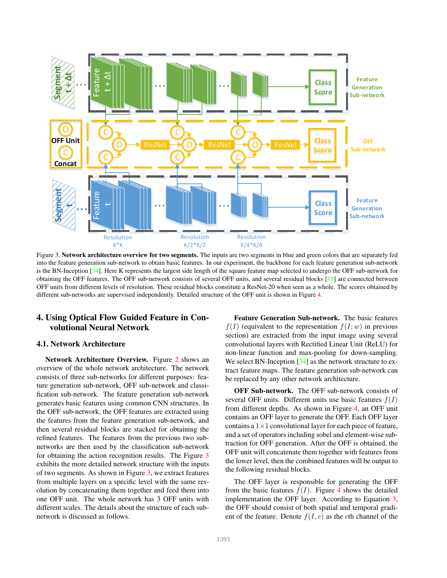

<span id="page-3-1"></span>Figure 3. Network architecture overview for two segments. The inputs are two segments in blue and green colors that are separately fed into the feature generation sub-network to obtain basic features. In our experiment, the backbone for each feature generation sub-network is the BN-Inception [\[34\]](#page-8-2). Here K represents the largest side length of the square feature map selected to undergo the OFF sub-network for obtaining the OFF features. The OFF sub-network consists of several OFF units, and several residual blocks [\[15\]](#page-8-3) are connected between OFF units from different levels of resolution. These residual blocks constitute a ResNet-20 when seen as a whole. The scores obtained by different sub-networks are supervised independently. Detailed structure of the OFF unit is shown in Figure [4.](#page-4-0)

# <span id="page-3-0"></span>4. Using Optical Flow Guided Feature in Convolutional Neural Network

#### 4.1. Network Architecture

Network Architecture Overview. Figure [2](#page-2-0) shows an overview of the whole network architecture. The network consists of three sub-networks for different purposes: feature generation sub-network, OFF sub-network and classification sub-network. The feature generation sub-network generates basic features using common CNN structures. In the OFF sub-network, the OFF features are extracted using the features from the feature generation sub-network, and then several residual blocks are stacked for obtaining the refined features. The features from the previous two subnetworks are then used by the classification sub-network for obtaining the action recognition results. The Figure [3](#page-3-1) exhibits the more detailed network structure with the inputs of two segments. As shown in Figure [3,](#page-3-1) we extract features from multiple layers on a specific level with the same resolution by concatenating them together and feed them into one OFF unit. The whole network has 3 OFF units with different scales. The details about the structure of each subnetwork is discussed as follows.

Feature Generation Sub-network. The basic features  $f(I)$  (equivalent to the representation  $f(I; w)$  in previous section) are extracted from the input image using several convolutional layers with Rectified Linear Unit (ReLU) for non-linear function and max-pooling for down-sampling. We select BN-Inception [\[34\]](#page-8-2) as the network structure to extract feature maps. The feature generation sub-network can be replaced by any other network architecture.

OFF Sub-network. The OFF sub-network consists of several OFF units. Different units use basic features  $f(I)$ from different depths. As shown in Figure [4,](#page-4-0) an OFF unit contains an OFF layer to generate the OFF. Each OFF layer contains a  $1 \times 1$  convolutional layer for each piece of feature, and a set of operators including sobel and element-wise subtraction for OFF generation. After the OFF is obtained, the OFF unit will concatenate them together with features from the lower level, then the combined features will be output to the following residual blocks.

The OFF layer is responsible for generating the OFF from the basic features  $f(I)$ . Figure [4](#page-4-0) shows the detailed implementation the OFF layer. According to Equation [3,](#page-2-1) the OFF should consist of both spatial and temporal gradient of the feature. Denote  $f(I, c)$  as the cth channel of the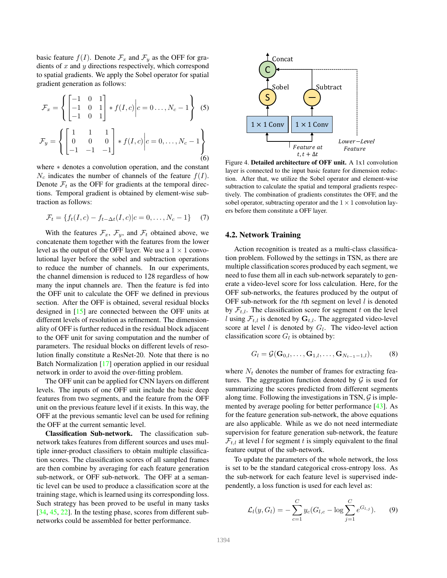basic feature  $f(I)$ . Denote  $\mathcal{F}_x$  and  $\mathcal{F}_y$  as the OFF for gradients of  $x$  and  $y$  directions respectively, which correspond to spatial gradients. We apply the Sobel operator for spatial gradient generation as follows:

$$
\mathcal{F}_x = \left\{ \begin{bmatrix} -1 & 0 & 1 \\ -1 & 0 & 1 \\ -1 & 0 & 1 \end{bmatrix} * f(I, c) \middle| c = 0 \dots, N_c - 1 \right\} \tag{5}
$$
\n
$$
\mathcal{F}_y = \left\{ \begin{bmatrix} 1 & 1 & 1 \\ 0 & 0 & 0 \\ -1 & -1 & -1 \end{bmatrix} * f(I, c) \middle| c = 0, \dots, N_c - 1 \right\} \tag{6}
$$

where ∗ denotes a convolution operation, and the constant  $N_c$  indicates the number of channels of the feature  $f(I)$ . Denote  $\mathcal{F}_t$  as the OFF for gradients at the temporal directions. Temporal gradient is obtained by element-wise subtraction as follows:

$$
\mathcal{F}_t = \{ f_t(I, c) - f_{t-\Delta t}(I, c) | c = 0, \dots, N_c - 1 \}
$$
 (7)

With the features  $\mathcal{F}_x$ ,  $\mathcal{F}_y$ , and  $\mathcal{F}_t$  obtained above, we concatenate them together with the features from the lower level as the output of the OFF layer. We use a  $1 \times 1$  convolutional layer before the sobel and subtraction operations to reduce the number of channels. In our experiments, the channel dimension is reduced to 128 regardless of how many the input channels are. Then the feature is fed into the OFF unit to calculate the OFF we defined in previous section. After the OFF is obtained, several residual blocks designed in [\[15\]](#page-8-3) are connected between the OFF units at different levels of resolution as refinement. The dimensionality of OFF is further reduced in the residual block adjacent to the OFF unit for saving computation and the number of parameters. The residual blocks on different levels of resolution finally constitute a ResNet-20. Note that there is no Batch Normalization [\[17\]](#page-8-28) operation applied in our residual network in order to avoid the over-fitting problem.

The OFF unit can be applied for CNN layers on different levels. The inputs of one OFF unit include the basic deep features from two segments, and the feature from the OFF unit on the previous feature level if it exists. In this way, the OFF at the previous semantic level can be used for refining the OFF at the current semantic level.

Classification Sub-network. The classification subnetwork takes features from different sources and uses multiple inner-product classifiers to obtain multiple classification scores. The classification scores of all sampled frames are then combine by averaging for each feature generation sub-network, or OFF sub-network. The OFF at a semantic level can be used to produce a classification score at the training stage, which is learned using its corresponding loss. Such strategy has been proved to be useful in many tasks [\[34,](#page-8-2) [45,](#page-9-10) [22\]](#page-8-29). In the testing phase, scores from different subnetworks could be assembled for better performance.



<span id="page-4-0"></span>Figure 4. Detailed architecture of OFF unit. A 1x1 convolution layer is connected to the input basic feature for dimension reduction. After that, we utilize the Sobel operator and element-wise subtraction to calculate the spatial and temporal gradients respectively. The combination of gradients constitutes the OFF, and the sobel operator, subtracting operator and the  $1 \times 1$  convolution layers before them constitute a OFF layer.

#### 4.2. Network Training

Action recognition is treated as a multi-class classification problem. Followed by the settings in TSN, as there are multiple classification scores produced by each segment, we need to fuse them all in each sub-network separately to generate a video-level score for loss calculation. Here, for the OFF sub-networks, the features produced by the output of OFF sub-network for the  $t$ th segment on level  $l$  is denoted by  $\mathcal{F}_{t,l}$ . The classification score for segment t on the level l using  $\mathcal{F}_{t,l}$  is denoted by  $\mathbf{G}_{t,l}$ . The aggregated video-level score at level l is denoted by  $G_l$ . The video-level action classification score  $G_l$  is obtained by:

$$
G_l = \mathcal{G}(\mathbf{G}_{0,l},\ldots,\mathbf{G}_{1,l},\ldots,\mathbf{G}_{N_{t-1}-1,l}),
$$
 (8)

where  $N_t$  denotes the number of frames for extracting features. The aggregation function denoted by  $G$  is used for summarizing the scores predicted from different segments along time. Following the investigations in TSN,  $G$  is implemented by average pooling for better performance [\[43\]](#page-9-2). As for the feature generation sub-network, the above equations are also applicable. While as we do not need intermediate supervision for feature generation sub-network, the feature  $\mathcal{F}_{t,l}$  at level l for segment t is simply equivalent to the final feature output of the sub-network.

To update the parameters of the whole network, the loss is set to be the standard categorical cross-entropy loss. As the sub-network for each feature level is supervised independently, a loss function is used for each level as:

$$
\mathcal{L}_l(y, G_l) = -\sum_{c=1}^C y_c (G_{l,c} - \log \sum_{j=1}^C e^{G_{l,j}}).
$$
 (9)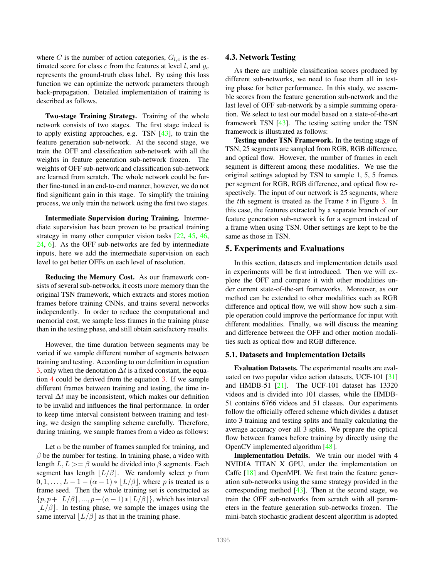where C is the number of action categories,  $G_{l,c}$  is the estimated score for class c from the features at level l, and  $y_c$ represents the ground-truth class label. By using this loss function we can optimize the network parameters through back-propagation. Detailed implementation of training is described as follows.

Two-stage Training Strategy. Training of the whole network consists of two stages. The first stage indeed is to apply existing approaches, e.g. TSN [\[43\]](#page-9-2), to train the feature generation sub-network. At the second stage, we train the OFF and classification sub-network with all the weights in feature generation sub-network frozen. The weights of OFF sub-network and classification sub-network are learned from scratch. The whole network could be further fine-tuned in an end-to-end manner, however, we do not find significant gain in this stage. To simplify the training process, we only train the network using the first two stages.

Intermediate Supervision during Training. Intermediate supervision has been proven to be practical training strategy in many other computer vision tasks [\[22,](#page-8-29) [45,](#page-9-10) [46,](#page-9-11) [24,](#page-8-30) [6\]](#page-8-31). As the OFF sub-networks are fed by intermediate inputs, here we add the intermediate supervision on each level to get better OFFs on each level of resolution.

Reducing the Memory Cost. As our framework consists of several sub-networks, it costs more memory than the original TSN framework, which extracts and stores motion frames before training CNNs, and trains several networks independently. In order to reduce the computational and memorial cost, we sample less frames in the training phase than in the testing phase, and still obtain satisfactory results.

However, the time duration between segments may be varied if we sample different number of segments between training and testing. According to our definition in equation [3,](#page-2-1) only when the denotation  $\Delta t$  is a fixed constant, the equation [4](#page-2-2) could be derived from the equation [3.](#page-2-1) If we sample different frames between training and testing, the time interval  $\Delta t$  may be inconsistent, which makes our definition to be invalid and influences the final performance. In order to keep time interval consistent between training and testing, we design the sampling scheme carefully. Therefore, during training, we sample frames from a video as follows:

Let  $\alpha$  be the number of frames sampled for training, and  $\beta$  be the number for testing. In training phase, a video with length  $L, L \geq \beta$  would be divided into  $\beta$  segments. Each segment has length  $|L/\beta|$ . We randomly select p from  $0, 1, \ldots, L-1-(\alpha-1) * \lfloor L/\beta \rfloor$ , where p is treated as a frame seed. Then the whole training set is constructed as  $\{p, p+|L/\beta|, ..., p+(\alpha-1) * |L/\beta|\}$ , which has interval  $|L/\beta|$ . In testing phase, we sample the images using the same interval  $|L/\beta|$  as that in the training phase.

#### 4.3. Network Testing

As there are multiple classification scores produced by different sub-networks, we need to fuse them all in testing phase for better performance. In this study, we assemble scores from the feature generation sub-network and the last level of OFF sub-network by a simple summing operation. We select to test our model based on a state-of-the-art framework TSN [\[43\]](#page-9-2). The testing setting under the TSN framework is illustrated as follows:

Testing under TSN Framework. In the testing stage of TSN, 25 segments are sampled from RGB, RGB difference, and optical flow. However, the number of frames in each segment is different among these modalities. We use the original settings adopted by TSN to sample 1, 5, 5 frames per segment for RGB, RGB difference, and optical flow respectively. The input of our network is 25 segments, where the the segment is treated as the Frame  $t$  in Figure [3.](#page-3-1) In this case, the features extracted by a separate branch of our feature generation sub-network is for a segment instead of a frame when using TSN. Other settings are kept to be the same as those in TSN.

# <span id="page-5-0"></span>5. Experiments and Evaluations

In this section, datasets and implementation details used in experiments will be first introduced. Then we will explore the OFF and compare it with other modalities under current state-of-the-art frameworks. Moreover, as our method can be extended to other modalities such as RGB difference and optical flow, we will show how such a simple operation could improve the performance for input with different modalities. Finally, we will discuss the meaning and difference between the OFF and other motion modalities such as optical flow and RGB difference.

#### 5.1. Datasets and Implementation Details

Evaluation Datasets. The experimental results are evaluated on two popular video action datasets, UCF-101 [\[31\]](#page-8-32) and HMDB-51 [\[21\]](#page-8-33). The UCF-101 dataset has 13320 videos and is divided into 101 classes, while the HMDB-51 contains 6766 videos and 51 classes. Our experiments follow the officially offered scheme which divides a dataset into 3 training and testing splits and finally calculating the average accuracy over all 3 splits. We prepare the optical flow between frames before training by directly using the OpenCV implemented algorithm [\[48\]](#page-9-12).

Implementation Details. We train our model with 4 NVIDIA TITAN X GPU, under the implementation on Caffe [\[18\]](#page-8-34) and OpenMPI. We first train the feature generation sub-networks using the same strategy provided in the corresponding method  $[43]$ . Then at the second stage, we train the OFF sub-networks from scratch with all parameters in the feature generation sub-networks frozen. The mini-batch stochastic gradient descent algorithm is adopted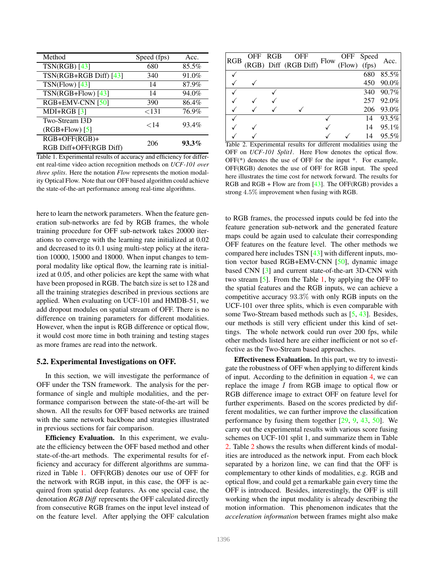| Method                                  | Speed (fps) | Acc.     |
|-----------------------------------------|-------------|----------|
| $TSN(RGB)$ [43]                         | 680         | 85.5%    |
| TSN(RGB+RGB Diff) [43]                  | 340         | 91.0%    |
| $TSN$ (Flow) [43]                       | 14          | 87.9%    |
| $TSN(RGB + Flow)$ [43]                  | 14          | 94.0%    |
| RGB+EMV-CNN [50]                        | 390         | 86.4%    |
| $MDI+RGB [3]$                           | ${<}131$    | 76.9%    |
| Two-Stream I3D<br>$(RGB+Flow)$ [5]      | ${<}14$     | 93.4%    |
| RGB+OFF(RGB)+<br>RGB Diff+OFF(RGB Diff) | 206         | $93.3\%$ |

<span id="page-6-0"></span>Table 1. Experimental results of accuracy and efficiency for different real-time video action recognition methods on *UCF-101 over three splits*. Here the notation *Flow* represents the motion modality Optical Flow. Note that our OFF based algorithm could achieve the state-of-the-art performance among real-time algorithms.

here to learn the network parameters. When the feature generation sub-networks are fed by RGB frames, the whole training procedure for OFF sub-network takes 20000 iterations to converge with the learning rate initialized at 0.02 and decreased to its 0.1 using multi-step policy at the iteration 10000, 15000 and 18000. When input changes to temporal modality like optical flow, the learning rate is initialized at 0.05, and other policies are kept the same with what have been proposed in RGB. The batch size is set to 128 and all the training strategies described in previous sections are applied. When evaluating on UCF-101 and HMDB-51, we add dropout modules on spatial stream of OFF. There is no difference on training parameters for different modalities. However, when the input is RGB difference or optical flow, it would cost more time in both training and testing stages as more frames are read into the network.

#### 5.2. Experimental Investigations on OFF.

In this section, we will investigate the performance of OFF under the TSN framework. The analysis for the performance of single and multiple modalities, and the performance comparison between the state-of-the-art will be shown. All the results for OFF based networks are trained with the same network backbone and strategies illustrated in previous sections for fair comparison.

Efficiency Evaluation. In this experiment, we evaluate the efficiency between the OFF based method and other state-of-the-art methods. The experimental results for efficiency and accuracy for different algorithms are summarized in Table [1.](#page-6-0) OFF(RGB) denotes our use of OFF for the network with RGB input, in this case, the OFF is acquired from spatial deep features. As one special case, the denotation *RGB Diff* represents the OFF calculated directly from consecutive RGB frames on the input level instead of on the feature level. After applying the OFF calculation

| <b>RGB</b> | OFF RGB | <b>OFF</b>            |      |              | OFF Speed |           |
|------------|---------|-----------------------|------|--------------|-----------|-----------|
|            |         | (RGB) Diff (RGB Diff) | Flow | (Flow) (fps) |           | Acc.      |
|            |         |                       |      |              | 680       | 85.5%     |
|            |         |                       |      |              | 450       | 90.0%     |
|            |         |                       |      |              |           | 340 90.7% |
|            |         |                       |      |              |           | 257 92.0% |
|            |         |                       |      |              |           | 206 93.0% |
|            |         |                       |      |              | 14        | 93.5%     |
|            |         |                       |      |              | 14        | 95.1%     |
|            |         |                       |      |              | 14        | 95.5%     |

<span id="page-6-1"></span>Table 2. Experimental results for different modalities using the OFF on *UCF-101 Split1*. Here Flow denotes the optical flow.  $\text{OFF}(*)$  denotes the use of OFF for the input  $*$ . For example, OFF(RGB) denotes the use of OFF for RGB input. The speed here illustrates the time cost for network forward. The results for RGB and RGB + Flow are from [\[43\]](#page-9-2). The OFF(RGB) provides a strong 4.5% improvement when fusing with RGB.

to RGB frames, the processed inputs could be fed into the feature generation sub-network and the generated feature maps could be again used to calculate their corresponding OFF features on the feature level. The other methods we compared here includes TSN [\[43\]](#page-9-2) with different inputs, motion vector based RGB+EMV-CNN [\[50\]](#page-9-3), dynamic image based CNN [\[3\]](#page-8-24) and current state-of-the-art 3D-CNN with two stream  $[5]$ . From the Table [1,](#page-6-0) by applying the OFF to the spatial features and the RGB inputs, we can achieve a competitive accuracy 93.3% with only RGB inputs on the UCF-101 over three splits, which is even comparable with some Two-Stream based methods such as [\[5,](#page-8-5) [43\]](#page-9-2). Besides, our methods is still very efficient under this kind of settings. The whole network could run over 200 fps, while other methods listed here are either inefficient or not so effective as the Two-Stream based approaches.

Effectiveness Evaluation. In this part, we try to investigate the robustness of OFF when applying to different kinds of input. According to the definition in equation [4,](#page-2-2) we can replace the image I from RGB image to optical flow or RGB difference image to extract OFF on feature level for further experiments. Based on the scores predicted by different modalities, we can further improve the classification performance by fusing them together [\[29,](#page-8-11) [9,](#page-8-9) [43,](#page-9-2) [50\]](#page-9-3). We carry out the experimental results with various score fusing schemes on UCF-101 split 1, and summarize them in Table [2.](#page-6-1) Table [2](#page-6-1) shows the results when different kinds of modalities are introduced as the network input. From each block separated by a horizon line, we can find that the OFF is complementary to other kinds of modalities, e.g. RGB and optical flow, and could get a remarkable gain every time the OFF is introduced. Besides, interestingly, the OFF is still working when the input modality is already describing the motion information. This phenomenon indicates that the *acceleration information* between frames might also make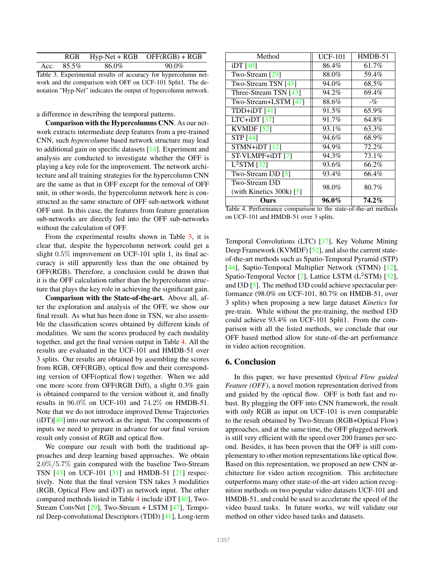|               |       | $RGB$ Hyp-Net + RGB OFF(RGB) + RGB |
|---------------|-------|------------------------------------|
| Acc. $85.5\%$ | 86.0% | $90.0\%$                           |

<span id="page-7-1"></span>Table 3. Experimental results of accuracy for hypercolumn network and the comparison with OFF on UCF-101 Split1. The denotation "Hyp-Net" indicates the output of hypercolumn network.

a difference in describing the temporal patterns.

Comparison with the Hypercolumns CNN. As our network extracts intermediate deep features from a pre-trained CNN, such *hypercolumn* based network structure may lead to additional gain on specific datasets [\[14\]](#page-8-35). Experiment and analysis are conducted to investigate whether the OFF is playing a key role for the improvement. The network architecture and all training strategies for the hypercolumn CNN are the same as that in OFF except for the removal of OFF unit, in other words, the hypercolumn network here is constructed as the same structure of OFF sub-network without OFF unit. In this case, the features from feature generation sub-networks are directly fed into the OFF sub-networks without the calculation of OFF.

From the experimental results shown in Table [3,](#page-7-1) it is clear that, despite the hypercolumn network could get a slight 0.5% improvement on UCF-101 split 1, its final accuracy is still apparently less than the one obtained by OFF(RGB). Therefore, a conclusion could be drawn that it is the OFF calculation rather than the hypercolumn structure that plays the key role in achieving the significant gain.

Comparison with the State-of-the-art. Above all, after the exploration and analysis of the OFF, we show our final result. As what has been done in TSN, we also assemble the classification scores obtained by different kinds of modalities. We sum the scores produced by each modality together, and get the final version output in Table [4.](#page-7-2) All the results are evaluated in the UCF-101 and HMDB-51 over 3 splits. Our results are obtained by assembling the scores from RGB, OFF(RGB), optical flow and their corresponding version of OFF(optical flow) together. When we add one more score from OFF(RGB Diff), a slight 0.3% gain is obtained compared to the version without it, and finally results in 96.0% on UCF-101 and 74.2% on HMDB-51. Note that we do not introduce improved Dense Trajectories  $(iDT)[40]$  $(iDT)[40]$  into our network as the input. The components of inputs we need to prepare in advance for our final version result only consist of RGB and optical flow.

We compare our result with both the traditional approaches and deep learning based approaches. We obtain 2.0%/5.7% gain compared with the baseline Two-Stream TSN [\[43\]](#page-9-2) on UCF-101 [\[31\]](#page-8-32) and HMDB-51 [\[21\]](#page-8-33) respectively. Note that the final version TSN takes 3 modalities (RGB, Optical Flow and iDT) as network input. The other compared methods listed in Table [4](#page-7-2) include iDT [\[40\]](#page-9-6), Two-Stream ConvNet [\[29\]](#page-8-11), Two-Stream + LSTM [\[47\]](#page-9-8), Temporal Deep-convolutional Descriptors (TDD) [\[41\]](#page-9-4), Long-term

| Method                      | <b>UCF-101</b> | $HMDB-51$ |  |
|-----------------------------|----------------|-----------|--|
| iDT [40]                    | 86.4%          | 61.7%     |  |
| Two-Stream $[29]$           | 88.0%          | 59.4%     |  |
| Two-Stream TSN [43]         | 94.0%          | 68.5%     |  |
| Three-Stream TSN [43]       | 94.2%          | 69.4%     |  |
| Two-Stream+LSTM [47]        | 88.6%          | $-\%$     |  |
| TDD+iDT [41]                | 91.5%          | 65.9%     |  |
| LTC+iDT $[37]$              | 91.7%          | 64.8%     |  |
| KVMDF $[52]$                | $93.1\%$       | 63.3%     |  |
| <b>STP</b> [44]             | 94.6%          | 68.9%     |  |
| STMN+iDT $[12]$             | 94.9%          | 72.2%     |  |
| ST-VLMPF+iDT [7]            | 94.3%          | 73.1%     |  |
| $L^2STM$ [32]               | 93.6%          | 66.2%     |  |
| Two-Stream I3D $[5]$        | 93.4%          | 66.4%     |  |
| Two-Stream I3D              | 98.0%          | 80.7%     |  |
| (with Kinetics $300k$ ) [5] |                |           |  |
| Ours                        | $96.0\%$       | $74.2\%$  |  |

<span id="page-7-2"></span>Table 4. Performance comparison to the state-of-the-art methods on UCF-101 and HMDB-51 over 3 splits.

Temporal Convolutions (LTC) [\[37\]](#page-8-19), Key Volume Mining Deep Framework (KVMDF) [\[52\]](#page-9-13), and also the current stateof-the-art methods such as Spatio-Temporal Pyramid (STP) [\[44\]](#page-9-14), Saptio-Temporal Multiplier Network (STMN) [\[12\]](#page-8-18), Spatio-Temporal Vector [\[7\]](#page-8-36), Lattice LSTM  $(L^2STM)$  [\[32\]](#page-8-21), and I3D [\[5\]](#page-8-5). The method I3D could achieve spectacular performance (98.0% on UCF-101, 80.7% on HMDB-51, over 3 splits) when proposing a new large dataset *Kinetics* for pre-train. While without the pre-training, the method I3D could achieve 93.4% on UCF-101 Split1. From the comparison with all the listed methods, we conclude that our OFF based method allow for state-of-the-art performance in video action recognition.

#### <span id="page-7-0"></span>6. Conclusion

In this paper, we have presented *Optical Flow guided Feature (OFF)*, a novel motion representation derived from and guided by the optical flow. OFF is both fast and robust. By plugging the OFF into CNN framework, the result with only RGB as input on UCF-101 is even comparable to the result obtained by Two-Stream (RGB+Optical Flow) approaches, and at the same time, the OFF plugged network is still very efficient with the speed over 200 frames per second. Besides, it has been proven that the OFF is still complementary to other motion representations like optical flow. Based on this representation, we proposed an new CNN architecture for video action recognition. This architecture outperforms many other state-of-the-art video action recognition methods on two popular video datasets UCF-101 and HMDB-51, and could be used to accelerate the speed of the video based tasks. In future works, we will validate our method on other video based tasks and datasets.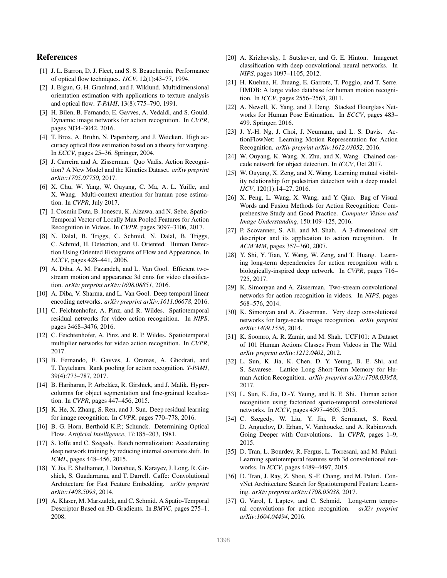# References

- <span id="page-8-25"></span>[1] J. L. Barron, D. J. Fleet, and S. S. Beauchemin. Performance of optical flow techniques. *IJCV*, 12(1):43–77, 1994.
- <span id="page-8-27"></span>[2] J. Bigun, G. H. Granlund, and J. Wiklund. Multidimensional orientation estimation with applications to texture analysis and optical flow. *T-PAMI*, 13(8):775–790, 1991.
- <span id="page-8-24"></span>[3] H. Bilen, B. Fernando, E. Gavves, A. Vedaldi, and S. Gould. Dynamic image networks for action recognition. In *CVPR*, pages 3034–3042, 2016.
- <span id="page-8-26"></span>[4] T. Brox, A. Bruhn, N. Papenberg, and J. Weickert. High accuracy optical flow estimation based on a theory for warping. In *ECCV*, pages 25–36. Springer, 2004.
- <span id="page-8-5"></span>[5] J. Carreira and A. Zisserman. Quo Vadis, Action Recognition? A New Model and the Kinetics Dataset. *arXiv preprint arXiv:1705.07750*, 2017.
- <span id="page-8-31"></span>[6] X. Chu, W. Yang, W. Ouyang, C. Ma, A. L. Yuille, and X. Wang. Multi-context attention for human pose estimation. In *CVPR*, July 2017.
- <span id="page-8-36"></span>[7] I. Cosmin Duta, B. Ionescu, K. Aizawa, and N. Sebe. Spatio-Temporal Vector of Locally Max Pooled Features for Action Recognition in Videos. In *CVPR*, pages 3097–3106, 2017.
- <span id="page-8-14"></span>[8] N. Dalal, B. Triggs, C. Schmid, N. Dalal, B. Triggs, C. Schmid, H. Detection, and U. Oriented. Human Detection Using Oriented Histograms of Flow and Appearance. In *ECCV*, pages 428–441, 2006.
- <span id="page-8-9"></span>[9] A. Diba, A. M. Pazandeh, and L. Van Gool. Efficient twostream motion and appearance 3d cnns for video classification. *arXiv preprint arXiv:1608.08851*, 2016.
- <span id="page-8-8"></span>[10] A. Diba, V. Sharma, and L. Van Gool. Deep temporal linear encoding networks. *arXiv preprint arXiv:1611.06678*, 2016.
- <span id="page-8-7"></span>[11] C. Feichtenhofer, A. Pinz, and R. Wildes. Spatiotemporal residual networks for video action recognition. In *NIPS*, pages 3468–3476, 2016.
- <span id="page-8-18"></span>[12] C. Feichtenhofer, A. Pinz, and R. P. Wildes. Spatiotemporal multiplier networks for video action recognition. In *CVPR*, 2017.
- <span id="page-8-23"></span>[13] B. Fernando, E. Gavves, J. Oramas, A. Ghodrati, and T. Tuytelaars. Rank pooling for action recognition. *T-PAMI*, 39(4):773–787, 2017.
- <span id="page-8-35"></span>[14] B. Hariharan, P. Arbeláez, R. Girshick, and J. Malik. Hypercolumns for object segmentation and fine-grained localization. In *CVPR*, pages 447–456, 2015.
- <span id="page-8-3"></span>[15] K. He, X. Zhang, S. Ren, and J. Sun. Deep residual learning for image recognition. In *CVPR*, pages 770–778, 2016.
- <span id="page-8-13"></span>[16] B. G. Horn, Berthold K.P.; Schunck. Determining Optical Flow. *Artificial Intelligence*, 17:185–203, 1981.
- <span id="page-8-28"></span>[17] S. Ioffe and C. Szegedy. Batch normalization: Accelerating deep network training by reducing internal covariate shift. In *ICML*, pages 448–456, 2015.
- <span id="page-8-34"></span>[18] Y. Jia, E. Shelhamer, J. Donahue, S. Karayev, J. Long, R. Girshick, S. Guadarrama, and T. Darrell. Caffe: Convolutional Architecture for Fast Feature Embedding. *arXiv preprint arXiv:1408.5093*, 2014.
- <span id="page-8-12"></span>[19] A. Klaser, M. Marszalek, and C. Schmid. A Spatio-Temporal Descriptor Based on 3D-Gradients. In *BMVC*, pages 275–1, 2008.
- <span id="page-8-0"></span>[20] A. Krizhevsky, I. Sutskever, and G. E. Hinton. Imagenet classification with deep convolutional neural networks. In *NIPS*, pages 1097–1105, 2012.
- <span id="page-8-33"></span>[21] H. Kuehne, H. Jhuang, E. Garrote, T. Poggio, and T. Serre. HMDB: A large video database for human motion recognition. In *ICCV*, pages 2556–2563, 2011.
- <span id="page-8-29"></span>[22] A. Newell, K. Yang, and J. Deng. Stacked Hourglass Networks for Human Pose Estimation. In *ECCV*, pages 483– 499. Springer, 2016.
- <span id="page-8-6"></span>[23] J. Y.-H. Ng, J. Choi, J. Neumann, and L. S. Davis. ActionFlowNet: Learning Motion Representation for Action Recognition. *arXiv preprint arXiv:1612.03052*, 2016.
- <span id="page-8-30"></span>[24] W. Ouyang, K. Wang, X. Zhu, and X. Wang. Chained cascade network for object detection. In *ICCV*, Oct 2017.
- <span id="page-8-4"></span>[25] W. Ouyang, X. Zeng, and X. Wang. Learning mutual visibility relationship for pedestrian detection with a deep model. *IJCV*, 120(1):14–27, 2016.
- <span id="page-8-16"></span>[26] X. Peng, L. Wang, X. Wang, and Y. Qiao. Bag of Visual Words and Fusion Methods for Action Recognition: Comprehensive Study and Good Practice. *Computer Vision and Image Understanding*, 150:109–125, 2016.
- <span id="page-8-15"></span>[27] P. Scovanner, S. Ali, and M. Shah. A 3-dimensional sift descriptor and its application to action recognition. In *ACM'MM*, pages 357–360, 2007.
- <span id="page-8-22"></span>[28] Y. Shi, Y. Tian, Y. Wang, W. Zeng, and T. Huang. Learning long-term dependencies for action recognition with a biologically-inspired deep network. In *CVPR*, pages 716– 725, 2017.
- <span id="page-8-11"></span>[29] K. Simonyan and A. Zisserman. Two-stream convolutional networks for action recognition in videos. In *NIPS*, pages 568–576, 2014.
- <span id="page-8-1"></span>[30] K. Simonyan and A. Zisserman. Very deep convolutional networks for large-scale image recognition. *arXiv preprint arXiv:1409.1556*, 2014.
- <span id="page-8-32"></span>[31] K. Soomro, A. R. Zamir, and M. Shah. UCF101: A Dataset of 101 Human Actions Classes From Videos in The Wild. *arXiv preprint arXiv:1212.0402*, 2012.
- <span id="page-8-21"></span>[32] L. Sun, K. Jia, K. Chen, D. Y. Yeung, B. E. Shi, and S. Savarese. Lattice Long Short-Term Memory for Human Action Recognition. *arXiv preprint arXiv:1708.03958*, 2017.
- <span id="page-8-10"></span>[33] L. Sun, K. Jia, D.-Y. Yeung, and B. E. Shi. Human action recognition using factorized spatio-temporal convolutional networks. In *ICCV*, pages 4597–4605, 2015.
- <span id="page-8-2"></span>[34] C. Szegedy, W. Liu, Y. Jia, P. Sermanet, S. Reed, D. Anguelov, D. Erhan, V. Vanhoucke, and A. Rabinovich. Going Deeper with Convolutions. In *CVPR*, pages 1–9, 2015.
- <span id="page-8-17"></span>[35] D. Tran, L. Bourdev, R. Fergus, L. Torresani, and M. Paluri. Learning spatiotemporal features with 3d convolutional networks. In *ICCV*, pages 4489–4497, 2015.
- <span id="page-8-20"></span>[36] D. Tran, J. Ray, Z. Shou, S.-F. Chang, and M. Paluri. ConvNet Architecture Search for Spatiotemporal Feature Learning. *arXiv preprint arXiv:1708.05038*, 2017.
- <span id="page-8-19"></span>[37] G. Varol, I. Laptev, and C. Schmid. Long-term temporal convolutions for action recognition. *arXiv preprint arXiv:1604.04494*, 2016.